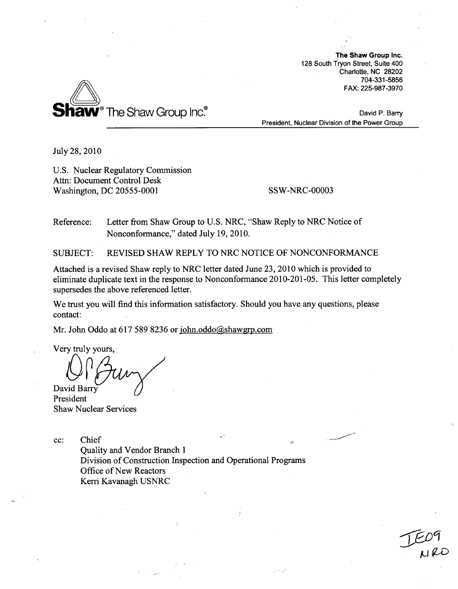The Shaw Group Inc. 128 South Tryon Street, Suite 400 Charlotte, NC 28202 704-331-5856 FAX: 225-987-3970



David P. Barry President, Nuclear Division of the Power Group

July 28, 2010

U.S. Nuclear Regulatory Commission Attn: Document Control Desk Washington, DC 20555-0001 SSW-NRC-00003

Reference: Letter from Shaw Group to U.S. NRC, "Shaw Reply to NRC Notice of Nonconformance," dated July 19, 2010.

SUBJECT: REVISED SHAW REPLY TO NRC NOTICE OF NONCONFORMANCE

Attached is a revised Shaw reply to NRC letter dated June 23, 2010 which is provided to eliminate duplicate text in the response to Nonconformance 2010-201-05. This letter completely supersedes the above referenced letter.

We trust you will find this information satisfactory. Should you have any questions, please contact:

Mr. John Oddo at 617 589 8236 or john.oddo@shawgrp.com

Very truly yours, David Barry

President Shaw Nuclear Services

cc: Chief

Quality and Vendor Branch 1 Division of Construction Inspection and Operational Programs Office of New Reactors Kerri Kavanagh USNRC

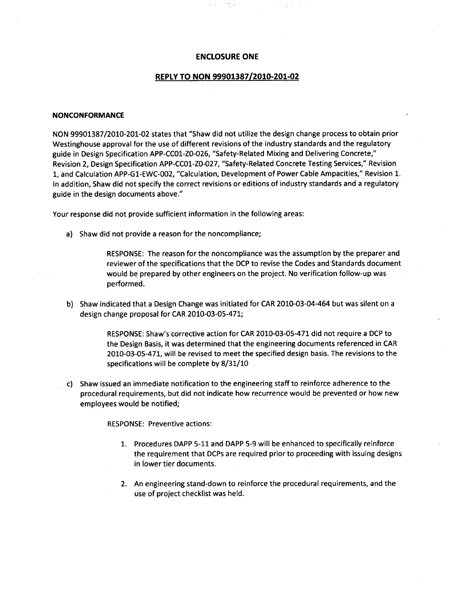### **ENCLOSURE ONE**

# REPLY TO **NON 99901387/2010-201-02**

#### **NONCONFORMANCE**

NON 99901387/2010-201-02 states that "Shaw did not utilize the design change process to obtain prior Westinghouse approval for the use of different revisions of the industry standards and the regulatory guide in Design Specification APP-CCO1-ZO-026, "Safety-Related Mixing and Delivering Concrete," Revision 2, Design Specification APP-CCO1-ZO-027, "Safety-Related Concrete Testing Services," Revision 1, and Calculation APP-G1-EWC-002, "Calculation, Development of Power Cable Ampacities," Revision 1. In addition, Shaw did not specify the correct revisions or editions of industry standards and a regulatory guide in the design documents above."

Your response did not provide sufficient information in the following areas:

a) Shaw did not provide a reason for the noncompliance;

RESPONSE: The reason for the noncompliance was the assumption by the preparer and reviewer of the specifications that the DCP to revise the Codes and Standards document would be prepared by other engineers on the project. No verification follow-up was performed.

b) Shaw indicated that a Design Change was initiated for CAR 2010-03-04-464 but was silent on a design change proposal for CAR 2010-03-05-471;

> RESPONSE: Shaw's corrective action for CAR 2010-03-05-471 did not require a DCP to the Design Basis, it was determined that the engineering documents referenced in CAR 2010-03-05-471, will be revised to meet the specified design basis. The revisions to the specifications will be complete by 8/31/10

c) Shaw issued an immediate notification to the engineering staff to reinforce adherence to the procedural requirements, but did not indicate how recurrence would be prevented or how new employees would be notified;

RESPONSE: Preventive actions:

- 1. Procedures DAPP 5-11 and DAPP 5-9 will be enhanced to specifically reinforce the requirement that DCPs are required prior to proceeding with issuing designs in lower tier documents.
- 2. An engineering stand-down to reinforce the procedural requirements, and the use of project checklist was held.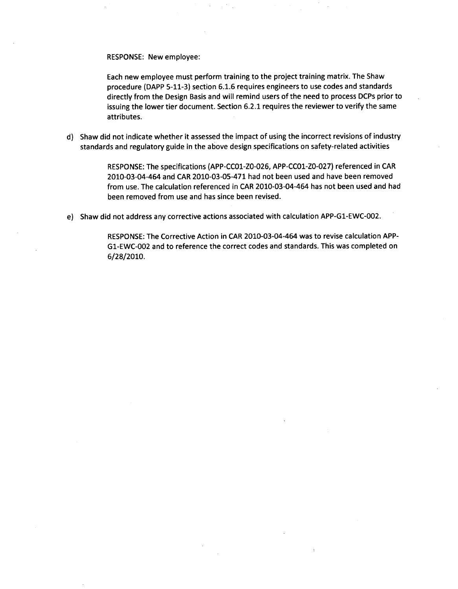RESPONSE: New employee:

Each new employee must perform training to the project training matrix. The Shaw procedure (DAPP 5-11-3) section 6.1.6 requires engineers to use codes and standards directly from the Design Basis and will remind users of the need to process DCPs prior to issuing the lower tier document. Section 6.2.1 requires the reviewer to verify the same attributes.

d) Shaw did not indicate whether it assessed the impact of using the incorrect revisions of industry standards and regulatory guide in the above design specifications on safety-related activities

> RESPONSE: The specifications (APP-CC01-ZO-026, APP-CC01-Z0-027) referenced in CAR 2010-03-04-464 and CAR 2010-03-05-471 had not been used and have been removed from use. The calculation referenced in CAR 2010-03-04-464 has not been used and had been removed from use and has since been revised.

e) Shaw did not address any corrective actions associated with calculation APP-G1-EWC-002.

RESPONSE: The Corrective Action in CAR 2010-03-04-464 was to revise calculation APP-G1-EWC-002 and to reference the correct codes and standards. This was completed on 6/28/2010.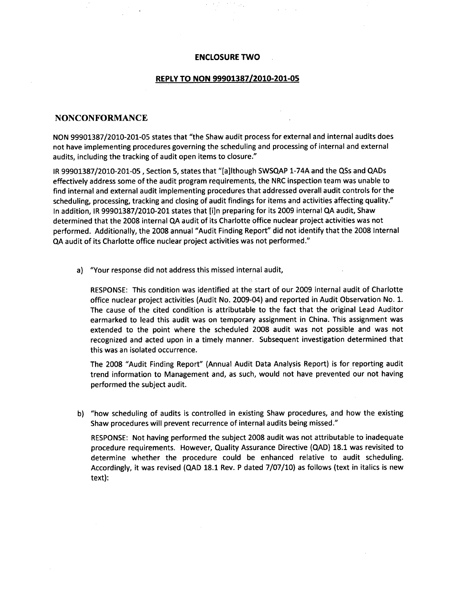#### **ENCLOSURE** TWO

 $\sqrt{2}$  .

#### REPLY TO **NON, 99901387/2010-201-05**

# **NONCONFORMANCE**

**NON 99901387/2010-201-05** states that "the Shaw audit process for external and internal audits does not have implementing procedures governing the scheduling and processing of internal and external audits, including the tracking of audit open items to closure."

IR **99901387/2010-201-05,** Section **5,** states that "[a]lthough **SWSQAP** 1-74A and the QSs and QADs effectively address some of the audit program requirements, the NRC inspection team was unable to find internal and external audit implementing procedures that addressed overall audit controls for the scheduling, processing, tracking and closing of audit findings for items and activities affecting quality." In addition, IR **99901387/2010-201** states that [i]n preparing for its **2009** internal **CIA** audit, Shaw determined that the **2008** internal **QA** audit of its Charlotte office nuclear project activities was not performed. Additionally, the **2008** annual "Audit Finding Report" did not identify that the **2008** Internal **CIA** audit of its Charlotte office nuclear project activities was not performed."

a) "Your response did not address this missed internal audit,

**RESPONSE:** This condition was identified at the start of our **2009** internal audit of Charlotte office nuclear project activities (Audit No. 2009-04) and reported in Audit Observation No. **1.** The cause of the cited condition is attributable to the fact that the original Lead Auditor earmarked to lead this audit was on temporary assignment in China. This assignment was extended to the point where the scheduled **2008** audit was not possible and was not recognized and acted upon in a timely manner. Subsequent investigation determined that this was an isolated occurrence.

The **2008** "Audit Finding Report" (Annual Audit Data Analysis Report) is for reporting audit trend information to Management and, as such, would not have prevented our not having performed the subject audit.

**b)** "how scheduling of audits is controlled in existing Shaw procedures, and how the existing Shaw procedures will prevent recurrence of internal audits being missed."

**RESPONSE:** Not having performed the subject **2008** audit was not attributable to inadequate procedure requirements. However, Quality Assurance Directive **(QAD) 18.1** was revisited to determine whether the procedure could be enhanced relative to audit scheduling. Accordingly, it was revised **(QAD 18.1** Rev. P dated **7/07/10)** as follows (text in italics is new text):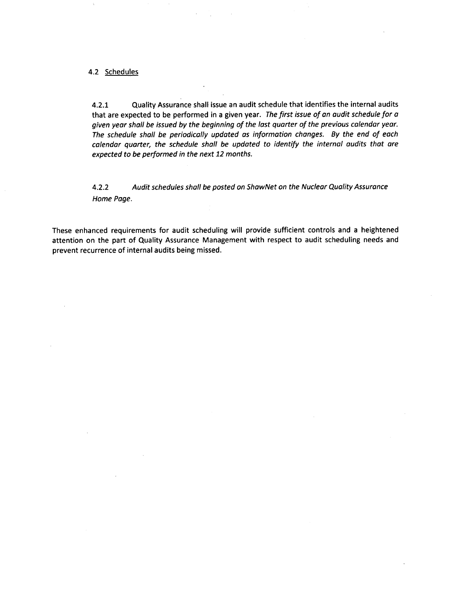# 4.2 Schedules

4.2.1 Quality Assurance shall issue an audit schedule that identifies the internal audits that are expected to be performed in a given year. *The first issue of an audit schedule for a given year shall be issued by the beginning of the last quarter of the previous calendar year. The schedule shall be periodically updated as information changes. By the end of each calendar quarter, the schedule shall be updated to identify the internal audits that are expected to be performed in the next 12 months.*

4.2.2 *Audit schedules shall be posted on ShawNet on the Nuclear Quality Assurance Home Page.*

These enhanced requirements for audit scheduling will provide sufficient controls and a heightened attention on the part of Quality Assurance Management with respect to audit scheduling needs and prevent recurrence of internal audits being missed.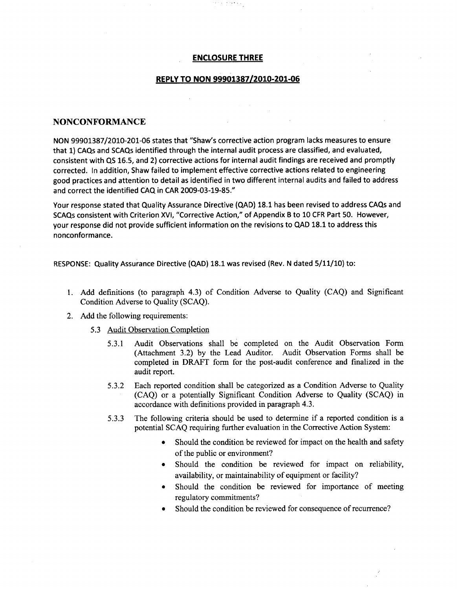#### **ENCLOSURE** THREE

 $\frac{1}{2}$  ,  $\frac{1}{2}$  ,  $\frac{1}{2}$  , and  $\frac{1}{2}$  ,  $\frac{1}{2}$  ,  $\frac{1}{2}$ 

# REPLY TO **NON 99901387/2010-201-06**

# **NONCONFORMANCE**

**NON** 99901387/2010-201-06 states that "Shaw's corrective action program lacks measures to ensure that 1) CAQs and SCAQs identified through the internal audit process are classified, and evaluated, consistent with QS 16.5, and 2) corrective actions for internal audit findings are received and promptly corrected. In addition, Shaw failed to implement effective corrective actions related to engineering good practices and attention to detail as identified in two different internal audits and failed to address and correct the identified CAQ in CAR 2009-03-19-85."

Your response stated that Quality Assurance Directive (QAD) 18.1 has been revised to address CAQs and SCAQs consistent with Criterion XVI, "Corrective Action," of Appendix B to 10 CFR Part 50. However, your response did not provide sufficient information on the revisions to QAD 18.1 to address this nonconformance.

RESPONSE: Quality Assurance Directive (QAD) 18.1 was revised (Rev. N dated 5/11/10) to:

- 1. Add definitions (to paragraph 4.3) of Condition Adverse to Quality (CAQ) and Significant Condition Adverse to Quality (SCAQ).
- 2. Add the following requirements:
	- 5.3 Audit Observation Completion
		- 5.3.1 Audit Observations shall be completed on the Audit Observation Form (Attachment 3.2) by the Lead Auditor. Audit Observation Forms shall be completed in DRAFT form for the post-audit conference and finalized in the audit report.
		- 5.3.2 Each reported condition shall be categorized as a Condition Adverse to Quality (CAQ) or a potentially Significant Condition Adverse to Quality (SCAQ) in accordance with definitions provided in paragraph 4.3.
		- 5.3.3 The following criteria should be used to determine if a reported condition is a potential SCAQ requiring further evaluation in the Corrective Action System:
			- Should the condition be reviewed for impact on the health and safety of the public or environment?
			- Should the condition be reviewed for impact on reliability, availability, or maintainability of equipment or facility?
			- \* Should the condition be reviewed for importance of meeting regulatory commitments?
			- Should the condition be reviewed for consequence of recurrence?